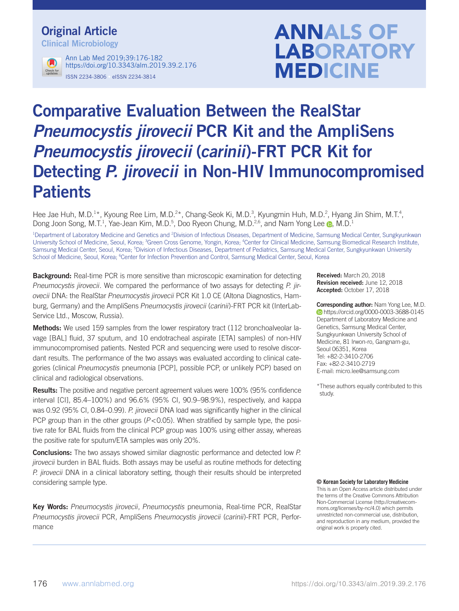# Original Article

Clinical Microbiology



ISSN 2234-3806 • eISSN 2234-3814 Ann Lab Med 2019;39:176-182 https://doi.org/10.3343/alm.2019.39.2.176

# **ANNALS OF LABORATORY MEDICINE**

# Comparative Evaluation Between the RealStar *Pneumocystis jirovecii* PCR Kit and the AmpliSens *Pneumocystis jirovecii* (carinii)-FRT PCR Kit for Detecting P. jirovecii in Non-HIV Immunocompromised **Patients**

Hee Jae Huh, M.D.<sup>1\*</sup>, Kyoung Ree Lim, M.D.<sup>2\*</sup>, Chang-Seok Ki, M.D.<sup>3</sup>, Kyungmin Huh, M.D.<sup>2</sup>, Hyang Jin Shim, M.T.<sup>4</sup>, Dong Joon Song, M.T.<sup>1</sup>, Yae-Jean Kim, M.D.<sup>5</sup>, Doo Ryeon Chung, M.D.<sup>2,6</sup>, and Nam Yong Lee @, M.D.<sup>1</sup>

<sup>1</sup>Department of Laboratory Medicine and Genetics and <sup>2</sup>Division of Infectious Diseases, Department of Medicine, Samsung Medical Center, Sungkyunkwan University School of Medicine, Seoul, Korea; <sup>3</sup>Green Cross Genome, Yongin, Korea; <sup>4</sup>Center for Clinical Medicine, Samsung Biomedical Research Institute, Samsung Medical Center, Seoul, Korea; <sup>5</sup>Division of Infectious Diseases, Department of Pediatrics, Samsung Medical Center, Sungkyunkwan University School of Medicine, Seoul, Korea; <sup>6</sup>Center for Infection Prevention and Control, Samsung Medical Center, Seoul, Korea

**Background:** Real-time PCR is more sensitive than microscopic examination for detecting Pneumocystis jirovecii. We compared the performance of two assays for detecting P. jirovecii DNA: the RealStar Pneumocystis jirovecii PCR Kit 1.0 CE (Altona Diagnostics, Hamburg, Germany) and the AmpliSens Pneumocystis jirovecii (carinii)-FRT PCR kit (InterLab-Service Ltd., Moscow, Russia).

Methods: We used 159 samples from the lower respiratory tract (112 bronchoalveolar lavage [BAL] fluid, 37 sputum, and 10 endotracheal aspirate [ETA] samples) of non-HIV immunocompromised patients. Nested PCR and sequencing were used to resolve discordant results. The performance of the two assays was evaluated according to clinical categories (clinical Pneumocystis pneumonia [PCP], possible PCP, or unlikely PCP) based on clinical and radiological observations.

Results: The positive and negative percent agreement values were 100% (95% confidence interval [CI], 85.4–100%) and 96.6% (95% CI, 90.9–98.9%), respectively, and kappa was 0.92 (95% CI, 0.84–0.99). P. jirovecii DNA load was significantly higher in the clinical PCP group than in the other groups ( $P < 0.05$ ). When stratified by sample type, the positive rate for BAL fluids from the clinical PCP group was 100% using either assay, whereas the positive rate for sputum/ETA samples was only 20%.

**Conclusions:** The two assays showed similar diagnostic performance and detected low P. jirovecii burden in BAL fluids. Both assays may be useful as routine methods for detecting P. *jirovecii* DNA in a clinical laboratory setting, though their results should be interpreted considering sample type.

Key Words: Pneumocystis jirovecii, Pneumocystis pneumonia, Real-time PCR, RealStar Pneumocystis jirovecii PCR, AmpliSens Pneumocystis jirovecii (carinii)-FRT PCR, Performance

Received: March 20, 2018 Revision received: June 12, 2018 Accepted: October 17, 2018

Corresponding author: Nam Yong Lee, M.D. **b**https://orcid.org/0000-0003-3688-0145 Department of Laboratory Medicine and Genetics, Samsung Medical Center, Sungkyunkwan University School of Medicine, 81 Irwon-ro, Gangnam-gu, Seoul 06351, Korea Tel: +82-2-3410-2706 Fax: +82-2-3410-2719 E-mail: micro.lee@samsung.com

\*These authors equally contributed to this study.

#### © Korean Society for Laboratory Medicine

This is an Open Access article distributed under the terms of the Creative Commons Attribution Non-Commercial License (http://creativecommons.org/licenses/by-nc/4.0) which permits unrestricted non-commercial use, distribution, and reproduction in any medium, provided the original work is properly cited.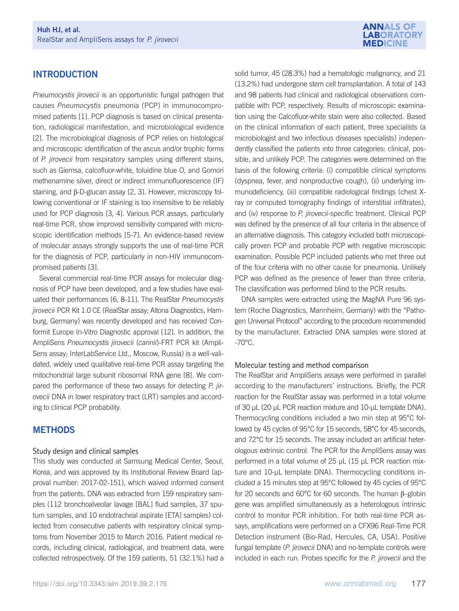# **INTRODUCTION**

Pneumocystis jirovecii is an opportunistic fungal pathogen that causes Pneumocystis pneumonia (PCP) in immunocompromised patients [1]. PCP diagnosis is based on clinical presentation, radiological manifestation, and microbiological evidence [2]. The microbiological diagnosis of PCP relies on histological and microscopic identification of the ascus and/or trophic forms of P. jirovecii from respiratory samples using different stains, such as Giemsa, calcofluor-white, toluidine blue O, and Gomori methenamine silver, direct or indirect immunofluorescence (IF) staining, and β-D-glucan assay [2, 3]. However, microscopy following conventional or IF staining is too insensitive to be reliably used for PCP diagnosis [3, 4]. Various PCR assays, particularly real-time PCR, show improved sensitivity compared with microscopic identification methods [5-7]. An evidence-based review of molecular assays strongly supports the use of real-time PCR for the diagnosis of PCP, particularly in non-HIV immunocompromised patients [3].

Several commercial real-time PCR assays for molecular diagnosis of PCP have been developed, and a few studies have evaluated their performances [6, 8-11]. The RealStar Pneumocystis jirovecii PCR Kit 1.0 CE (RealStar assay; Altona Diagnostics, Hamburg, Germany) was recently developed and has received Conformit Europe In-Vitro Diagnostic approval [12]. In addition, the AmpliSens Pneumocystis jirovecii (carinii)-FRT PCR kit (Ampli-Sens assay; InterLabService Ltd., Moscow, Russia) is a well-validated, widely used qualitative real-time PCR assay targeting the mitochondrial large subunit ribosomal RNA gene [8]. We compared the performance of these two assays for detecting P. jirovecii DNA in lower respiratory tract (LRT) samples and according to clinical PCP probability.

# **METHODS**

#### Study design and clinical samples

This study was conducted at Samsung Medical Center, Seoul, Korea, and was approved by its Institutional Review Board (approval number: 2017-02-151), which waived informed consent from the patients. DNA was extracted from 159 respiratory samples (112 bronchoalveolar lavage [BAL] fluid samples, 37 sputum samples, and 10 endotracheal aspirate [ETA] samples) collected from consecutive patients with respiratory clinical symptoms from November 2015 to March 2016. Patient medical records, including clinical, radiological, and treatment data, were collected retrospectively. Of the 159 patients, 51 (32.1%) had a



solid tumor, 45 (28.3%) had a hematologic malignancy, and 21 (13.2%) had undergone stem cell transplantation. A total of 143 and 98 patients had clinical and radiological observations compatible with PCP, respectively. Results of microscopic examination using the Calcofluor-white stain were also collected. Based on the clinical information of each patient, three specialists (a microbiologist and two infectious diseases specialists) independently classified the patients into three categories: clinical, possible, and unlikely PCP. The categories were determined on the basis of the following criteria: (i) compatible clinical symptoms (dyspnea, fever, and nonproductive cough), (ii) underlying immunodeficiency, (iii) compatible radiological findings (chest Xray or computed tomography findings of interstitial infiltrates), and (iv) response to P. jirovecii-specific treatment. Clinical PCP was defined by the presence of all four criteria in the absence of an alternative diagnosis. This category included both microscopically proven PCP and probable PCP with negative microscopic examination. Possible PCP included patients who met three out of the four criteria with no other cause for pneumonia. Unlikely PCP was defined as the presence of fewer than three criteria. The classification was performed blind to the PCR results.

DNA samples were extracted using the MagNA Pure 96 system (Roche Diagnostics, Mannheim, Germany) with the "Pathogen Universal Protocol" according to the procedure recommended by the manufacturer. Extracted DNA samples were stored at -70°C.

#### Molecular testing and method comparison

The RealStar and AmpliSens assays were performed in parallel according to the manufacturers' instructions. Briefly, the PCR reaction for the RealStar assay was performed in a total volume of 30 μL (20 μL PCR reaction mixture and 10-μL template DNA). Thermocycling conditions included a two min step at 95°C followed by 45 cycles of 95°C for 15 seconds, 58°C for 45 seconds, and 72°C for 15 seconds. The assay included an artificial heterologous extrinsic control. The PCR for the AmpliSens assay was performed in a total volume of 25 μL (15 μL PCR reaction mixture and 10-μL template DNA). Thermocycling conditions included a 15 minutes step at 95°C followed by 45 cycles of 95°C for 20 seconds and 60°C for 60 seconds. The human β–globin gene was amplified simultaneously as a heterologous intrinsic control to monitor PCR inhibition. For both real-time PCR assays, amplifications were performed on a CFX96 Real-Time PCR Detection instrument (Bio-Rad, Hercules, CA, USA). Positive fungal template (P. jirovecii DNA) and no-template controls were included in each run. Probes specific for the P. jirovecii and the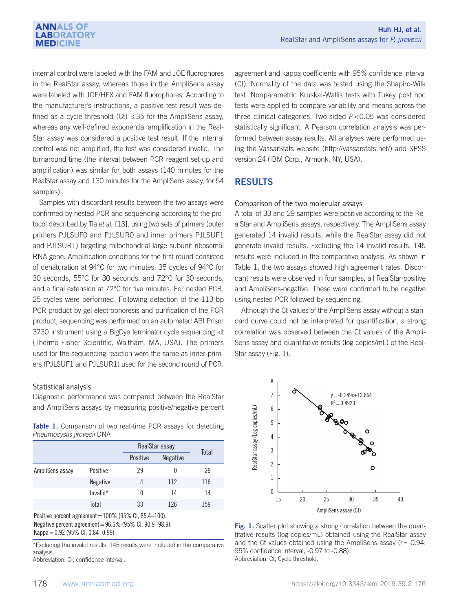internal control were labeled with the FAM and JOE fluorophores in the RealStar assay, whereas those in the AmpliSens assay were labeled with JOE/HEX and FAM fluorophores. According to the manufacturer's instructions, a positive test result was defined as a cycle threshold (Ct)  $\leq$ 35 for the AmpliSens assay, whereas any well-defined exponential amplification in the Real-Star assay was considered a positive test result. If the internal control was not amplified, the test was considered invalid. The turnaround time (the interval between PCR reagent set-up and amplification) was similar for both assays (140 minutes for the RealStar assay and 130 minutes for the AmpliSens assay, for 54 samples).

Samples with discordant results between the two assays were confirmed by nested PCR and sequencing according to the protocol described by Tia et al. [13], using two sets of primers (outer primers PJLSUF0 and PJLSUR0 and inner primers PJLSUF1 and PJLSUR1) targeting mitochondrial large subunit ribosomal RNA gene. Amplification conditions for the first round consisted of denaturation at 94°C for two minutes; 35 cycles of 94°C for 30 seconds, 55°C for 30 seconds, and 72°C for 30 seconds; and a final extension at 72°C for five minutes. For nested PCR, 25 cycles were performed. Following detection of the 113-bp PCR product by gel electrophoresis and purification of the PCR product, sequencing was performed on an automated ABI Prism 3730 instrument using a BigDye terminator cycle sequencing kit (Thermo Fisher Scientific, Waltham, MA, USA). The primers used for the sequencing reaction were the same as inner primers (PJLSUF1 and PJLSUR1) used for the second round of PCR.

#### Statistical analysis

Diagnostic performance was compared between the RealStar and AmpliSens assays by measuring positive/negative percent

|  | <b>Table 1.</b> Comparison of two real-time PCR assays for detecting |  |  |  |  |
|--|----------------------------------------------------------------------|--|--|--|--|
|  | Pneumocystis jirovecii DNA                                           |  |  |  |  |

|                 |                 | RealStar assay | Total           |     |
|-----------------|-----------------|----------------|-----------------|-----|
|                 |                 | Positive       | <b>Negative</b> |     |
| AmpliSens assay | Positive        | 29             |                 | 29  |
|                 | <b>Negative</b> | 4              | 112             | 116 |
|                 | Invalid*        | 0              | 14              | 14  |
|                 | Total           | 33             | 126             | 159 |

Positive percent agreement=100% (95% CI, 85.4–100). Negative percent agreement=96.6% (95% CI, 90.9–98.9).

Kappa=0.92 (95% CI, 0.84–0.99)

\*Excluding the invalid results, 145 results were included in the comparative analysis.

Abbreviation: CI, confidence interval.

agreement and kappa coefficients with 95% confidence interval (CI). Normality of the data was tested using the Shapiro-Wilk test. Nonparametric Kruskal-Wallis tests with Tukey post hoc tests were applied to compare variability and means across the three clinical categories. Two-sided  $P < 0.05$  was considered statistically significant. A Pearson correlation analysis was performed between assay results. All analyses were performed using the VassarStats website (http://vassarstats.net/) and SPSS version 24 (IBM Corp., Armonk, NY, USA).

# RESULTS

#### Comparison of the two molecular assays

A total of 33 and 29 samples were positive according to the RealStar and AmpliSens assays, respectively. The AmpliSens assay generated 14 invalid results, while the RealStar assay did not generate invalid results. Excluding the 14 invalid results, 145 results were included in the comparative analysis. As shown in Table 1, the two assays showed high agreement rates. Discordant results were observed in four samples, all RealStar-positive and AmpliSens-negative. These were confirmed to be negative using nested PCR followed by sequencing.

Although the Ct values of the AmpliSens assay without a standard curve could not be interpreted for quantification, a strong correlation was observed between the Ct values of the Ampli-Sens assay and quantitative results (log copies/mL) of the Real-Star assay (Fig. 1).



Fig. 1. Scatter plot showing a strong correlation between the quan-1. **Secare Fig. 1.** Scatter plot showing a strong conclusion between the quantitative results (log copies/mL) obtained using the RealStar assay  $\frac{1}{2}$  and the Ct values obtained using the AmpliSens assay (r=-0.94;  $\frac{1}{2}$ 95% confidence interval, -0.97 to -0.88). Abbreviation: Ct, Cycle threshold.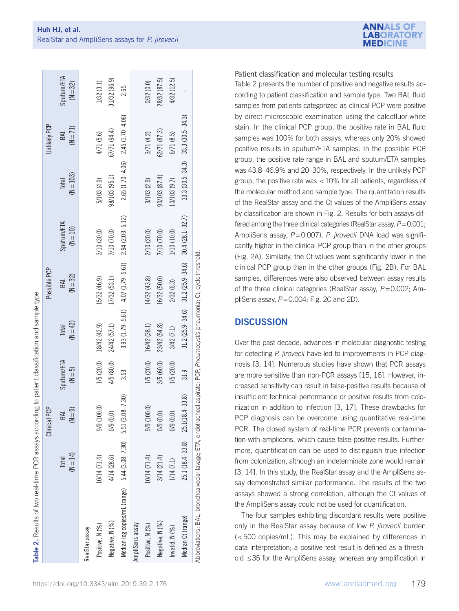| Table 2. Results of two real-time PCR assays according to patient classification and sample type                         |                     |                          |                                |                     |                                         |                          |                        |                     |                                 |
|--------------------------------------------------------------------------------------------------------------------------|---------------------|--------------------------|--------------------------------|---------------------|-----------------------------------------|--------------------------|------------------------|---------------------|---------------------------------|
|                                                                                                                          |                     | <b>PCP</b><br>Clinical H |                                |                     | Possible PCP                            |                          |                        | Unlikely PCP        |                                 |
|                                                                                                                          | $(N = 14)$<br>Total | $(N = 9)$<br>BAL         | <b>Sputum/ETA</b><br>$(M = 5)$ | $(N = 42)$<br>Total | $(N = 32)$<br>BAL                       | Sputum/ETA<br>$(N = 10)$ | $(N = 103)$<br>Total   | $(N = 71)$<br>BAL   | <b>Sputum/ETA</b><br>$(N = 32)$ |
| RealStar assay                                                                                                           |                     |                          |                                |                     |                                         |                          |                        |                     |                                 |
| Positive, N (%)                                                                                                          | 10/14 (71.4)        | 9/9 (100.0)              | 1/5 (20.0)                     | 18/42 (42.9)        | 15/32 (46.9)                            | 3/10 (30.0)              | 5/103 (4.9)            | 4/71 (5.6)          | 1/32(3.1)                       |
| Negative, N (%)                                                                                                          | 4/14 (28.6)         | 0/9(0.0)                 | 4/5 (80.0)                     | 24/42 (57.1)        | 17/32 (53.1)                            | 7/10 (70.0)              | 98/103 (95.1)          | 67/71 (94.4)        | 11/32 (96.9)                    |
| Median log copies/mL (range) 5.44 (3.08-7.30) 5.51 (3.08-7.30)                                                           |                     |                          | 3.53                           |                     | $3.93(1.79 - 5.61)$ $4.07(1.79 - 5.61)$ | $2.94(2.03 - 5.12)$      | $2.65$ $(1.70 - 4.06)$ | $2.45(1.70 - 4.06)$ | 2.65                            |
| AmpliSens assay                                                                                                          |                     |                          |                                |                     |                                         |                          |                        |                     |                                 |
| Positive, N (%)                                                                                                          | 10/14 (71.4)        | 9/9 (100.0)              | 1/5 (20.0)                     | 16/42 (38.1)        | 14/32 (43.8)                            | 2/10 (20.0)              | 3/103 (2.9)            | 3/71 (4.2)          | 0/32 (0.0)                      |
| Negative, N (%)                                                                                                          | 3/14 (21.4)         | 0/9(0.0)                 | 3/5 (60.0)                     | 23/42 (54.8)        | 16/32 (50.0)                            | 7/10 (70.0)              | 90/103 (87.4)          | 62/71 (87.3)        | 28/32 (87.5)                    |
| Invalid, N (%)                                                                                                           | 1/14(7.1)           | 0/9(0.0)                 | 1/5 (20.0)                     | 3/42 (7.1)          | 2/32 (6.3)                              | 1/10 (10.0)              | 10/103 (9.7)           | 6/71(8.5)           | 4/32 (12.5)                     |
| Median Ct (range)                                                                                                        | 25.1 (18.4-33.8)    | $4 - 33.8$<br>25.1(18.   | 31.9                           | $31.2(25.9 - 34.6)$ | $31.2(25.9 - 34.6)$                     | $30.4(28.1 - 32.7)$      | $33.3(30.5 - 34.3)$    | $33.3(30.5 - 34.3)$ |                                 |
| Abbreviations: BAL, bronchoalveolar lavage; ETA, endotracheal aspirate; PCP, Pneumocystis pneumonia; Ct, cycle threshold |                     |                          |                                |                     |                                         |                          |                        |                     |                                 |

### Patient classification and molecular testing results

**ANNALS OF ABORATORY MEDICINE** 

Table 2 presents the number of positive and negative results according to patient classification and sample type. Two BAL fluid samples from patients categorized as clinical PCP were positive by direct microscopic examination using the calcofluor-white stain. In the clinical PCP group, the positive rate in BAL fluid samples was 100% for both assays, whereas only 20% showed positive results in sputum/ETA samples. In the possible PCP group, the positive rate range in BAL and sputum/ETA samples was 43.8–46.9% and 20–30%, respectively. In the unlikely PCP group, the positive rate was <10% for all patients, regardless of the molecular method and sample type. The quantitation results of the RealStar assay and the Ct values of the AmpliSens assay by classification are shown in Fig. 2. Results for both assays differed among the three clinical categories (RealStar assay,  $P=0.001$ ; AmpliSens assay,  $P = 0.007$ ). P. jirovecii DNA load was significantly higher in the clinical PCP group than in the other groups (Fig. 2A). Similarly, the Ct values were significantly lower in the clinical PCP group than in the other groups (Fig. 2B). For BAL samples, differences were also observed between assay results of the three clinical categories (RealStar assay,  $P = 0.002$ ; AmpliSens assay,  $P = 0.004$ ; Fig. 2C and 2D).

## **DISCUSSION**

Over the past decade, advances in molecular diagnostic testing for detecting P. *jirovecii* have led to improvements in PCP diagnosis [3, 14]. Numerous studies have shown that PCR assays are more sensitive than non-PCR assays [15, 16]. However, increased sensitivity can result in false-positive results because of insufficient technical performance or positive results from colonization in addition to infection [3, 17]. These drawbacks for PCP diagnosis can be overcome using quantitative real-time PCR. The closed system of real-time PCR prevents contamination with amplicons, which cause false-positive results. Furthermore, quantification can be used to distinguish true infection from colonization, although an indeterminate zone would remain [3, 14]. In this study, the RealStar assay and the AmpliSens assay demonstrated similar performance. The results of the two assays showed a strong correlation, although the Ct values of the AmpliSens assay could not be used for quantification.

The four samples exhibiting discordant results were positive only in the RealStar assay because of low P. jirovecii burden (<500 copies/mL). This may be explained by differences in data interpretation; a positive test result is defined as a threshold ≤35 for the AmpliSens assay, whereas any amplification in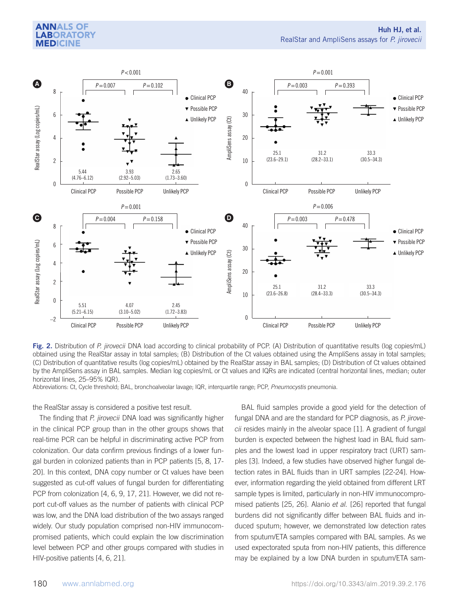### **ANNALS OF LABORATORY MEDICINE**



**Fig. 2.** Distribution of P. jirovecii DNA load according to clinical probability of PCP. (A) Distribution of quantitative results (log copies/mL) Contained using the PoolStar accove in total camples. (B) Distribution of t **Fig. 2.** Distribution of P. *Jirovecii* DNA load according to clinical probability of PCP. (A) Distribution of quantitative results (log copies/mL)<br>obtained using the RealStar assay in total samples; (B) Distribution of t (C) Distribution of quantitative results (log copies/mL) obtained by the RealStar assay in BAL samples; (D) Distribution of Ct values obtained by the AmpliSens assay in BAL samples. Median log copies/mL or Ct values and IQRs are indicated (central horizontal lines, median; outer<br>horizontal lines. 25–95% IQR) horizontal lines, 25–95% IQR).

Abbreviations: Ct, Cycle threshold; BAL, bronchoalveolar lavage; IQR, interquartile range; PCP, *Pneumocystis* pneumonia.

the RealStar assay is considered a positive test result.

The finding that P. jirovecii DNA load was significantly higher fit<br>355 samples; (CO) also copies in the athen groups about the Real in the clinical PCP group than in the other groups shows that circlesides mainly in the alveolar space [1]. A gradient of fungal real-time PCR can be helpful in discriminating active PCP from colonization. Our data confirm previous findings of a lower fun-<br>colonization. Our data confirm previous findings of a lower fun- ples and the lowest load in upper respiratory tract (URT) samgal burden in colonized patients than in PCP patients [5, 8, 17-20]. In this context, DNA copy number or Ct values have been tection rates in BAL fluids than in URT samples [22-24]. Howsuggested as cut-off values of fungal burden for differentiating ever, information regarding the yield obtained from different LRT PCP from colonization [4, 6, 9, 17, 21]. However, we did not re-<br>sample types is port cut-off values as the number of patients with clinical PCP mised patients [25, 26]. Alanio et al. [26] reported that fungal was low, and the DNA load distribution of the two assays ranged 359 Abbreviations: Ct, Cycle threshold; BAL, bronchoalveolar lavage; IQR, interquartile range; 359 Abbreviations: Ct, Cycle threshold; BAL, bronchoalveolar lavage; IQR, interquartile range; 359 Abbreviations: Ct, Cycle threshold; BAL, bronchoalveolar lavage; IQR, interquartile range; 359 Abbreviations: Ct, Cycle threshold; BAL, bronchoalveolar lavage; IQR, interquartile range; was low, and the DIVA load distribution of the two assays ranged builderts did not significantly differ between DAL huids and in<br>widely. Our study population comprised non-HIV immunocom- duced sputum; however, we demonstra macry. Samples propulation comprised non-nivermination of the could explain the low discrimination fit promised patients, which could explain the low discrimination<br>level between PCP and other groups compared with studies in HIV-positive patients [4, 6, 21]. The finding that P. jirovecii DNA load was significantly higher fungal DNA and are the standard for PCP diagnosis, as P. jirove-<br>in the aliminal DCD group than in the atlast groups about that sai resides reside in the alun was low, and the DIVA load distribution of the two assays ranged and denot sud not significantly different back house and in-<br>widely. Our study population comprised non-HIV immunocom- duced sputum; however, we demonstrated macry. Our stacy population comprised non-rinverminances are acceded patent, nowever, we demonstrated fow detection rates<br>promised patients, which could explain the low discrimination from sputum/ETA samples compared with

BAL fluid samples provide a good yield for the detection of cii resides mainly in the alveolar space [1]. A gradient of fungal burden is expected between the highest load in BAL fluid samples and the lowest load in upper respiratory tract (URT) samples [3]. Indeed, a few studies have observed higher fungal detection rates in BAL fluids than in URT samples [22-24]. However, information regarding the yield obtained from different LRT sample types is limited, particularly in non-HIV immunocompromised patients [25, 26]. Alanio et al. [26] reported that fungal burdens did not significantly differ between BAL fluids and inused expectorated sputa from non-HIV patients, this difference HIV-positive patients [4, 6, 21]. The samples of the Copies of the Real Stars (copies and putum) of the Real Stars (copies and the Real Stars (copies, copies, copies, copies, copies, copies, copies, copies, copies, copies, 354 samples; (B) Distribution of the Ct values obtained using the AmpliSens assay in total 354 samples; (B) Distribution of the Ct values obtained using the AmpliSens assay in total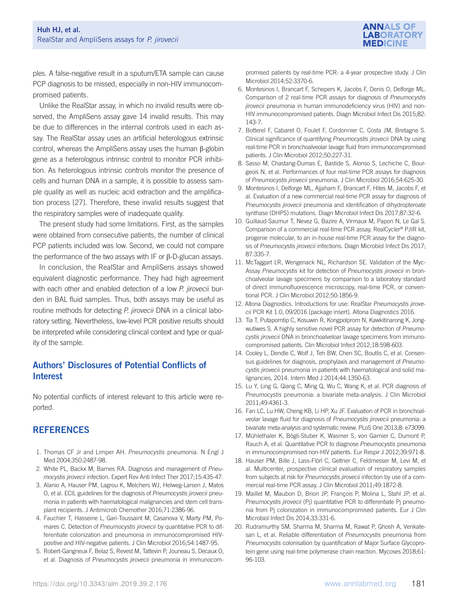

ples. A false-negative result in a sputum/ETA sample can cause PCP diagnosis to be missed, especially in non-HIV immunocompromised patients.

Unlike the RealStar assay, in which no invalid results were observed, the AmpliSens assay gave 14 invalid results. This may be due to differences in the internal controls used in each assay. The RealStar assay uses an artificial heterologous extrinsic control, whereas the AmpliSens assay uses the human β-globin gene as a heterologous intrinsic control to monitor PCR inhibition. As heterologous intrinsic controls monitor the presence of cells and human DNA in a sample, it is possible to assess sample quality as well as nucleic acid extraction and the amplification process [27]. Therefore, these invalid results suggest that the respiratory samples were of inadequate quality.

The present study had some limitations. First, as the samples were obtained from consecutive patients, the number of clinical PCP patients included was low. Second, we could not compare the performance of the two assays with IF or β-D-glucan assays.

In conclusion, the RealStar and AmpliSens assays showed equivalent diagnostic performance. They had high agreement with each other and enabled detection of a low P. jirovecii burden in BAL fluid samples. Thus, both assays may be useful as routine methods for detecting P. jirovecii DNA in a clinical laboratory setting. Nevertheless, low-level PCR positive results should be interpreted while considering clinical context and type or quality of the sample.

# Authors' Disclosures of Potential Conflicts of Interest

No potential conflicts of interest relevant to this article were reported.

# **REFERENCES**

- 1. Thomas CF Jr and Limper AH. Pneumocystis pneumonia. N Engl J Med 2004;350:2487-98.
- 2. White PL, Backx M, Barnes RA. Diagnosis and management of Pneumocystis jirovecii infection. Expert Rev Anti Infect Ther 2017;15:435-47.
- 3. Alanio A, Hauser PM, Lagrou K, Melchers WJ, Helweg-Larsen J, Matos O, et al. ECIL guidelines for the diagnosis of Pneumocystis jirovecii pneumonia in patients with haematological malignancies and stem cell transplant recipients. J Antimicrob Chemother 2016;71:2386-96.
- 4. Fauchier T, Hasseine L, Gari-Toussaint M, Casanova V, Marty PM, Pomares C. Detection of Pneumocystis jirovecii by quantitative PCR to differentiate colonization and pneumonia in immunocompromised HIVpositive and HIV-negative patients. J Clin Microbiol 2016;54:1487-95.
- 5. Robert-Gangneux F, Belaz S, Revest M, Tattevin P, Jouneau S, Decaux O, et al. Diagnosis of Pneumocystis jirovecii pneumonia in immunocom-

promised patients by real-time PCR: a 4-year prospective study. J Clin Microbiol 2014;52:3370-6.

- 6. Montesinos I, Brancart F, Schepers K, Jacobs F, Denis O, Delforge ML. Comparison of 2 real-time PCR assays for diagnosis of Pneumocystis jirovecii pneumonia in human immunodeficiency virus (HIV) and non-HIV immunocompromised patients. Diagn Microbiol Infect Dis 2015;82: 143-7.
- 7. Botterel F, Cabaret O, Foulet F, Cordonnier C, Costa JM, Bretagne S. Clinical significance of quantifying Pneumocystis jirovecii DNA by using real-time PCR in bronchoalveolar lavage fluid from immunocompromised patients. J Clin Microbiol 2012;50:227-31.
- 8. Sasso M, Chastang-Dumas E, Bastide S, Alonso S, Lechiche C, Bourgeois N, et al. Performances of four real-time PCR assays for diagnosis of Pneumocystis jirovecii pneumonia. J Clin Microbiol 2016;54:625-30.
- 9. Montesinos I, Delforge ML, Ajjaham F, Brancart F, Hites M, Jacobs F, et al. Evaluation of a new commercial real-time PCR assay for diagnosis of Pneumocystis jirovecii pneumonia and identification of dihydropteroate synthase (DHPS) mutations. Diagn Microbiol Infect Dis 2017;87:32-6.
- 10. Guillaud-Saumur T, Nevez G, Bazire A, Virmaux M, Papon N, Le Gal S. Comparison of a commercial real-time PCR assay, RealCycler® PJIR kit, progenie molecular, to an in-house real-time PCR assay for the diagnosis of Pneumocystis jirovecii infections. Diagn Microbiol Infect Dis 2017; 87:335-7.
- 11. McTaggart LR, Wengenack NL, Richardson SE. Validation of the Myc-Assay Pneumocystis kit for detection of Pneumocystis jirovecii in bronchoalveolar lavage specimens by comparison to a laboratory standard of direct immunofluorescence microscopy, real-time PCR, or conventional PCR. J Clin Microbiol 2012;50:1856-9.
- 12. Altona Diagnostics. Introductions for use: RealStar Pneumocystis jirovecii PCR Kit 1.0, 09/2016 [package insert]. Altona Diagnostics 2016.
- 13. Tia T, Putaporntip C, Kosuwin R, Kongpolprom N, Kawkitinarong K, Jongwutiwes S. A highly sensitive novel PCR assay for detection of Pneumocystis jirovecii DNA in bronchoalveloar lavage specimens from immunocompromised patients. Clin Microbiol Infect 2012;18:598-603.
- 14. Cooley L, Dendle C, Wolf J, Teh BW, Chen SC, Boutlis C, et al. Consensus guidelines for diagnosis, prophylaxis and management of Pneumocystis jirovecii pneumonia in patients with haematological and solid malignancies, 2014. Intern Med J 2014;44:1350-63.
- 15. Lu Y, Ling G, Qiang C, Ming Q, Wu C, Wang K, et al. PCR diagnosis of Pneumocystis pneumonia: a bivariate meta-analysis. J Clin Microbiol 2011;49:4361-3.
- 16. Fan LC, Lu HW, Cheng KB, Li HP, Xu JF. Evaluation of PCR in bronchoalveolar lavage fluid for diagnosis of Pneumocystis jirovecii pneumonia: a bivariate meta-analysis and systematic review. PLoS One 2013;8: e73099.
- 17. Mühlethaler K, Bögli-Stuber K, Wasmer S, von Garnier C, Dumont P, Rauch A, et al. Quantitative PCR to diagnose Pneumocystis pneumonia in immunocompromised non-HIV patients. Eur Respir J 2012;39:971-8.
- 18. Hauser PM, Bille J, Lass-Flörl C, Geltner C, Feldmesser M, Levi M, et al. Multicenter, prospective clinical evaluation of respiratory samples from subjects at risk for Pneumocystis jirovecii infection by use of a commercial real-time PCR assay. J Clin Microbiol 2011;49:1872-8.
- 19. Maillet M, Maubon D, Brion JP, François P, Molina L, Stahl JP, et al. Pneumocystis jirovecii (Pj) quantitative PCR to differentiate Pj pneumonia from Pj colonization in immunocompromised patients. Eur J Clin Microbiol Infect Dis 2014;33:331-6.
- 20. Rudramurthy SM, Sharma M, Sharma M, Rawat P, Ghosh A, Venkatesan L, et al. Reliable differentiation of Pneumocystis pneumonia from Pneumocystis colonisation by quantification of Major Surface Glycoprotein gene using real-time polymerase chain reaction. Mycoses 2018;61: 96-103.